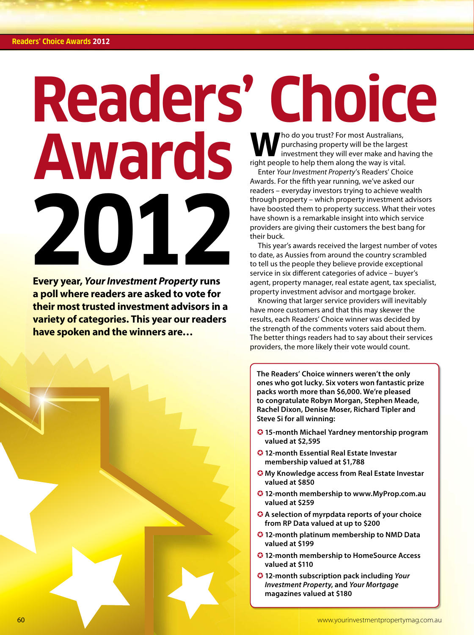# Readers' Choice purchasing property will be the largest

# **2012 Awards**

**Every year,** *Your Investment Property* **runs a poll where readers are asked to vote for their most trusted investment advisors in a variety of categories. This year our readers have spoken and the winners are…**

**Who do you trust? For most Australians,**<br>purchasing property will be the larges<br>investment they will ever make and has investment they will ever make and having the right people to help them along the way is vital.

Enter *Your Investment Property*'s Readers' Choice Awards. For the fifth year running, we've asked our readers – everyday investors trying to achieve wealth through property – which property investment advisors have boosted them to property success. What their votes have shown is a remarkable insight into which service providers are giving their customers the best bang for their buck.

This year's awards received the largest number of votes to date, as Aussies from around the country scrambled to tell us the people they believe provide exceptional service in six different categories of advice - buyer's agent, property manager, real estate agent, tax specialist, property investment advisor and mortgage broker.

Knowing that larger service providers will inevitably have more customers and that this may skewer the results, each Readers' Choice winner was decided by the strength of the comments voters said about them. The better things readers had to say about their services providers, the more likely their vote would count.

**The Readers' Choice winners weren't the only ones who got lucky. Six voters won fantastic prize packs worth more than \$6,000. We're pleased to congratulate Robyn Morgan, Stephen Meade, Rachel Dixon, Denise Moser, Richard Tipler and Steve Si for all winning:** 

- **15-month Michael Yardney mentorship program valued at \$2,595**
- **12-month Essential Real Estate Investar membership valued at \$1,788**
- **My Knowledge access from Real Estate Investar valued at \$850**
- **12-month membership to www.MyProp.com.au valued at \$259**
- **A selection of myrpdata reports of your choice from RP Data valued at up to \$200**
- **12-month platinum membership to NMD Data valued at \$199**
- **12-month membership to HomeSource Access valued at \$110**
- **12-month subscription pack including** *Your Investment Property***, and** *Your Mortgage*  **magazines valued at \$180**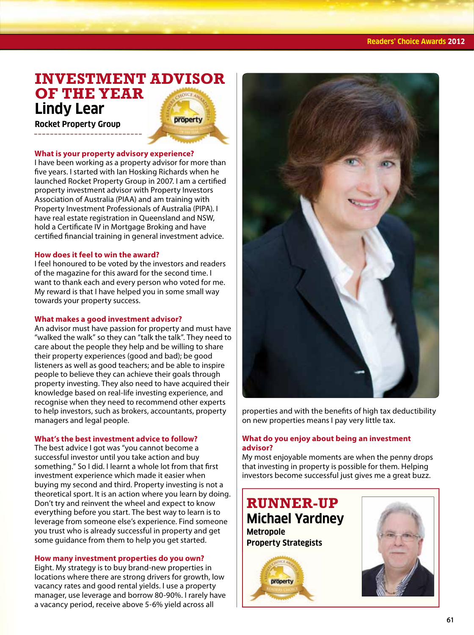#### **Readers' Choice Awards 2012**

# **INVESTMENT ADVISOR OF THE YEAR Lindy Lear**

property

**Rocket Property Group**

#### **What is your property advisory experience?**

I have been working as a property advisor for more than ve years. I started with Ian Hosking Richards when he launched Rocket Property Group in 2007. I am a certified property investment advisor with Property Investors Association of Australia (PIAA) and am training with Property Investment Professionals of Australia (PIPA). I have real estate registration in Queensland and NSW, hold a Certificate IV in Mortgage Broking and have certified financial training in general investment advice.

#### **How does it feel to win the award?**

I feel honoured to be voted by the investors and readers of the magazine for this award for the second time. I want to thank each and every person who voted for me. My reward is that I have helped you in some small way towards your property success.

#### **What makes a good investment advisor?**

An advisor must have passion for property and must have "walked the walk" so they can "talk the talk". They need to care about the people they help and be willing to share their property experiences (good and bad); be good listeners as well as good teachers; and be able to inspire people to believe they can achieve their goals through property investing. They also need to have acquired their knowledge based on real-life investing experience, and recognise when they need to recommend other experts to help investors, such as brokers, accountants, property managers and legal people.

#### **What's the best investment advice to follow?**

The best advice I got was "you cannot become a successful investor until you take action and buy something." So I did. I learnt a whole lot from that first investment experience which made it easier when buying my second and third. Property investing is not a theoretical sport. It is an action where you learn by doing. Don't try and reinvent the wheel and expect to know everything before you start. The best way to learn is to leverage from someone else's experience. Find someone you trust who is already successful in property and get some guidance from them to help you get started.

#### **How many investment properties do you own?**

Eight. My strategy is to buy brand-new properties in locations where there are strong drivers for growth, low vacancy rates and good rental yields. I use a property manager, use leverage and borrow 80-90%. I rarely have a vacancy period, receive above 5-6% yield across all



properties and with the benefits of high tax deductibility on new properties means I pay very little tax.

#### **What do you enjoy about being an investment advisor?**

My most enjoyable moments are when the penny drops that investing in property is possible for them. Helping investors become successful just gives me a great buzz.

**RUNNER-UP Michael Yardney Metropole Property Strategists**

# property

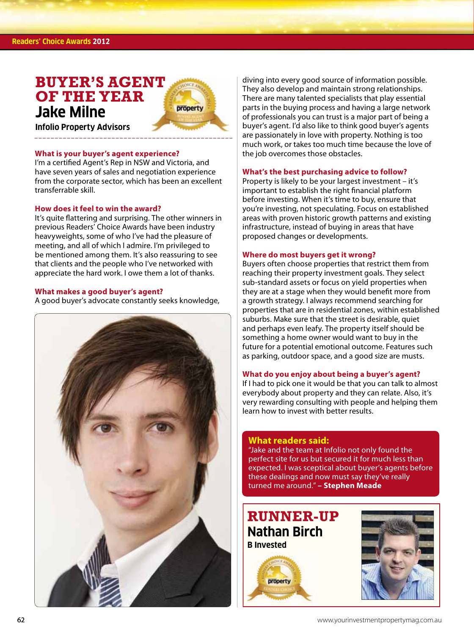#### **Readers' Choice Awards 2012**

# **BUYER'S AGENT OF THE YEAR Jake Milne**



**Infolio Property Advisors**

#### **What is your buyer's agent experience?**

I'm a certified Agent's Rep in NSW and Victoria, and have seven years of sales and negotiation experience from the corporate sector, which has been an excellent transferrable skill.

#### **How does it feel to win the award?**

It's quite flattering and surprising. The other winners in previous Readers' Choice Awards have been industry heavyweights, some of who I've had the pleasure of meeting, and all of which I admire. I'm privileged to be mentioned among them. It's also reassuring to see that clients and the people who I've networked with appreciate the hard work. I owe them a lot of thanks.

#### **What makes a good buyer's agent?**

A good buyer's advocate constantly seeks knowledge,



diving into every good source of information possible. They also develop and maintain strong relationships. There are many talented specialists that play essential parts in the buying process and having a large network of professionals you can trust is a major part of being a buyer's agent. I'd also like to think good buyer's agents are passionately in love with property. Nothing is too much work, or takes too much time because the love of the job overcomes those obstacles.

#### **What's the best purchasing advice to follow?**

Property is likely to be your largest investment – it's important to establish the right financial platform before investing. When it's time to buy, ensure that you're investing, not speculating. Focus on established areas with proven historic growth patterns and existing infrastructure, instead of buying in areas that have proposed changes or developments.

#### **Where do most buyers get it wrong?**

Buyers often choose properties that restrict them from reaching their property investment goals. They select sub-standard assets or focus on yield properties when they are at a stage when they would benefit more from a growth strategy. I always recommend searching for properties that are in residential zones, within established suburbs. Make sure that the street is desirable, quiet and perhaps even leafy. The property itself should be something a home owner would want to buy in the future for a potential emotional outcome. Features such as parking, outdoor space, and a good size are musts.

#### **What do you enjoy about being a buyer's agent?**

If I had to pick one it would be that you can talk to almost everybody about property and they can relate. Also, it's very rewarding consulting with people and helping them learn how to invest with better results.

#### **What readers said:**

"Jake and the team at Infolio not only found the perfect site for us but secured it for much less than expected. I was sceptical about buyer's agents before these dealings and now must say they've really turned me around." **– Stephen Meade**

# **RUNNER-UP Nathan Birch B Invested**



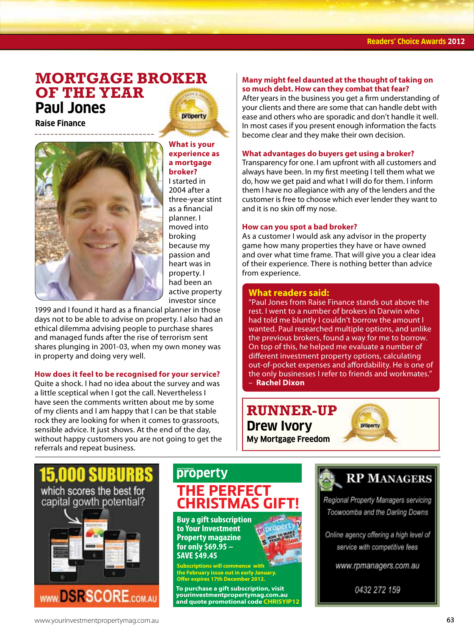### **MORTGAGE BROKER OF THE YEAR Paul Jones** property

**Raise Finance**



**What is your experience as** 

#### **a mortgage broker?**

I started in 2004 after a three-year stint as a financial planner. I moved into broking because my passion and heart was in property. I had been an active property investor since

1999 and I found it hard as a financial planner in those days not to be able to advise on property. I also had an ethical dilemma advising people to purchase shares and managed funds after the rise of terrorism sent shares plunging in 2001-03, when my own money was in property and doing very well.

#### **How does it feel to be recognised for your service?**

Quite a shock. I had no idea about the survey and was a little sceptical when I got the call. Nevertheless I have seen the comments written about me by some of my clients and I am happy that I can be that stable rock they are looking for when it comes to grassroots, sensible advice. It just shows. At the end of the day, without happy customers you are not going to get the referrals and repeat business.

#### **Many might feel daunted at the thought of taking on so much debt. How can they combat that fear?**

After years in the business you get a firm understanding of your clients and there are some that can handle debt with ease and others who are sporadic and don't handle it well. In most cases if you present enough information the facts become clear and they make their own decision.

#### **What advantages do buyers get using a broker?**

Transparency for one. I am upfront with all customers and always have been. In my first meeting I tell them what we do, how we get paid and what I will do for them. I inform them I have no allegiance with any of the lenders and the customer is free to choose which ever lender they want to and it is no skin off my nose.

#### **How can you spot a bad broker?**

As a customer I would ask any advisor in the property game how many properties they have or have owned and over what time frame. That will give you a clear idea of their experience. There is nothing better than advice from experience.

#### **What readers said:**

"Paul Jones from Raise Finance stands out above the rest. I went to a number of brokers in Darwin who had told me bluntly I couldn't borrow the amount I wanted. Paul researched multiple options, and unlike the previous brokers, found a way for me to borrow. On top of this, he helped me evaluate a number of different investment property options, calculating out-of-pocket expenses and affordability. He is one of the only businesses I refer to friends and workmates." – **Rachel Dixon**







# property **THE PERFECT CHRISTMAS GII**

**Buy a gift subscription to Your Investment Property magazine for only \$69.95 – SAVE \$49.45**

**Scriptions will commence with the February issue out in early January. Oer expires 17th December 2012.**

**To purchase a gift subscription, visit yourinvestmentpropertymag.com.au and quote promotional code CHRISYIP12**



**RP MANAGERS** 

Regional Property Managers servicing Toowoomba and the Darling Downs

Online agency offering a high level of service with competitive fees

www.rpmanagers.com.au

0432 272 159

WWW.DSRSCORE.COM.AU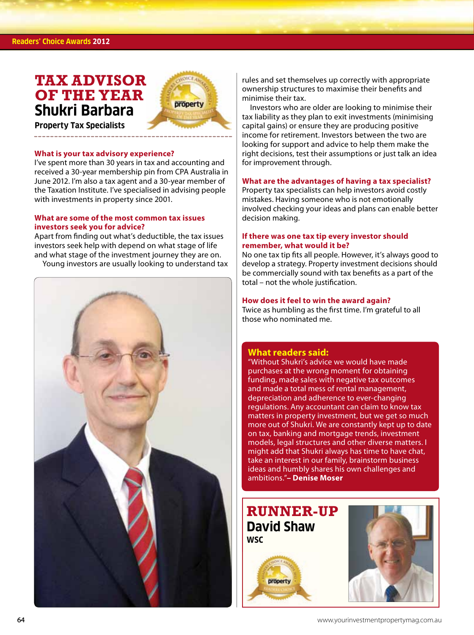#### **Readers' Choice Awards 2012**

# **TAX ADVISOR OF THE YEAR Shukri Barbara**



**Property Tax Specialists**

#### **What is your tax advisory experience?**

I've spent more than 30 years in tax and accounting and received a 30-year membership pin from CPA Australia in June 2012. I'm also a tax agent and a 30-year member of the Taxation Institute. I've specialised in advising people with investments in property since 2001.

#### **What are some of the most common tax issues investors seek you for advice?**

Apart from finding out what's deductible, the tax issues investors seek help with depend on what stage of life and what stage of the investment journey they are on.

Young investors are usually looking to understand tax



rules and set themselves up correctly with appropriate ownership structures to maximise their benefits and minimise their tax.

Investors who are older are looking to minimise their tax liability as they plan to exit investments (minimising capital gains) or ensure they are producing positive income for retirement. Investors between the two are looking for support and advice to help them make the right decisions, test their assumptions or just talk an idea for improvement through.

#### **What are the advantages of having a tax specialist?**

Property tax specialists can help investors avoid costly mistakes. Having someone who is not emotionally involved checking your ideas and plans can enable better decision making.

#### **If there was one tax tip every investor should remember, what would it be?**

No one tax tip fits all people. However, it's always good to develop a strategy. Property investment decisions should be commercially sound with tax benefits as a part of the total – not the whole justification.

#### **How does it feel to win the award again?**

Twice as humbling as the first time. I'm grateful to all those who nominated me.

#### **What readers said:**

"Without Shukri's advice we would have made purchases at the wrong moment for obtaining funding, made sales with negative tax outcomes and made a total mess of rental management, depreciation and adherence to ever-changing regulations. Any accountant can claim to know tax matters in property investment, but we get so much more out of Shukri. We are constantly kept up to date on tax, banking and mortgage trends, investment models, legal structures and other diverse matters. I might add that Shukri always has time to have chat, take an interest in our family, brainstorm business ideas and humbly shares his own challenges and ambitions."**– Denise Moser**

# **RUNNER-UP David Shaw WSC**



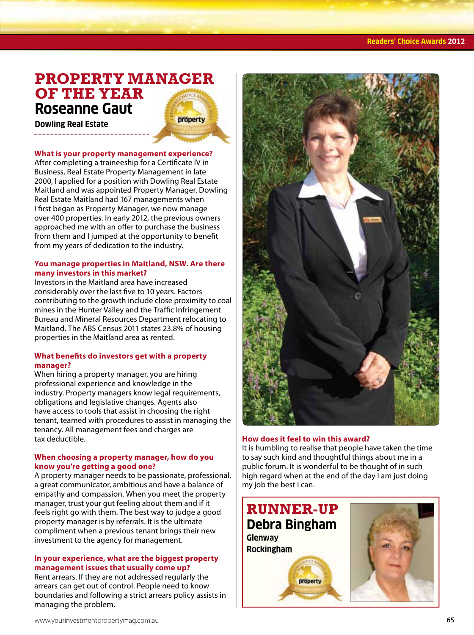# **PROPERTY MANAGER OF THE YEAR Roseanne Gaut property**

**Dowling Real Estate**

#### **What is your property management experience?**

After completing a traineeship for a Certificate IV in Business, Real Estate Property Management in late 2000, I applied for a position with Dowling Real Estate Maitland and was appointed Property Manager. Dowling Real Estate Maitland had 167 managements when I first began as Property Manager, we now manage over 400 properties. In early 2012, the previous owners approached me with an offer to purchase the business from them and I jumped at the opportunity to benefit from my years of dedication to the industry.

#### **You manage properties in Maitland, NSW. Are there many investors in this market?**

Investors in the Maitland area have increased considerably over the last five to 10 years. Factors contributing to the growth include close proximity to coal mines in the Hunter Valley and the Traffic Infringement Bureau and Mineral Resources Department relocating to Maitland. The ABS Census 2011 states 23.8% of housing properties in the Maitland area as rented.

#### **What benefits do investors get with a property manager?**

When hiring a property manager, you are hiring professional experience and knowledge in the industry. Property managers know legal requirements, obligations and legislative changes. Agents also have access to tools that assist in choosing the right tenant, teamed with procedures to assist in managing the tenancy. All management fees and charges are tax deductible.

#### **When choosing a property manager, how do you know you're getting a good one?**

A property manager needs to be passionate, professional, a great communicator, ambitious and have a balance of empathy and compassion. When you meet the property manager, trust your gut feeling about them and if it feels right go with them. The best way to judge a good property manager is by referrals. It is the ultimate compliment when a previous tenant brings their new investment to the agency for management.

#### **In your experience, what are the biggest property management issues that usually come up?**

Rent arrears. If they are not addressed regularly the arrears can get out of control. People need to know boundaries and following a strict arrears policy assists in managing the problem.



#### **How does it feel to win this award?**

It is humbling to realise that people have taken the time to say such kind and thoughtful things about me in a public forum. It is wonderful to be thought of in such high regard when at the end of the day I am just doing my job the best I can.